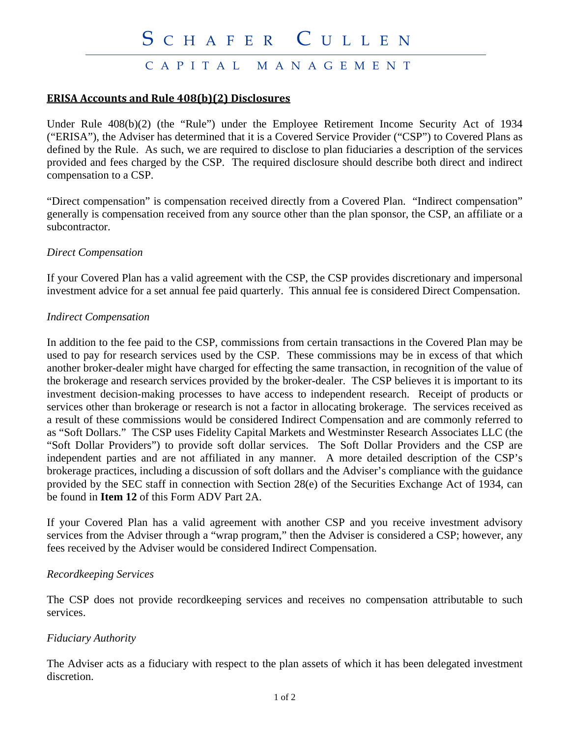# CAPITAL MANAGEMENT

### **ERISA Accounts and Rule 408(b)(2) Disclosures**

Under Rule 408(b)(2) (the "Rule") under the Employee Retirement Income Security Act of 1934 ("ERISA"), the Adviser has determined that it is a Covered Service Provider ("CSP") to Covered Plans as defined by the Rule. As such, we are required to disclose to plan fiduciaries a description of the services provided and fees charged by the CSP. The required disclosure should describe both direct and indirect compensation to a CSP.

"Direct compensation" is compensation received directly from a Covered Plan. "Indirect compensation" generally is compensation received from any source other than the plan sponsor, the CSP, an affiliate or a subcontractor.

#### *Direct Compensation*

If your Covered Plan has a valid agreement with the CSP, the CSP provides discretionary and impersonal investment advice for a set annual fee paid quarterly. This annual fee is considered Direct Compensation.

#### *Indirect Compensation*

In addition to the fee paid to the CSP, commissions from certain transactions in the Covered Plan may be used to pay for research services used by the CSP. These commissions may be in excess of that which another broker-dealer might have charged for effecting the same transaction, in recognition of the value of the brokerage and research services provided by the broker-dealer. The CSP believes it is important to its investment decision-making processes to have access to independent research. Receipt of products or services other than brokerage or research is not a factor in allocating brokerage. The services received as a result of these commissions would be considered Indirect Compensation and are commonly referred to as "Soft Dollars." The CSP uses Fidelity Capital Markets and Westminster Research Associates LLC (the "Soft Dollar Providers") to provide soft dollar services. The Soft Dollar Providers and the CSP are independent parties and are not affiliated in any manner. A more detailed description of the CSP's brokerage practices, including a discussion of soft dollars and the Adviser's compliance with the guidance provided by the SEC staff in connection with Section 28(e) of the Securities Exchange Act of 1934, can be found in **Item 12** of this Form ADV Part 2A.

If your Covered Plan has a valid agreement with another CSP and you receive investment advisory services from the Adviser through a "wrap program," then the Adviser is considered a CSP; however, any fees received by the Adviser would be considered Indirect Compensation.

#### *Recordkeeping Services*

The CSP does not provide recordkeeping services and receives no compensation attributable to such services.

#### *Fiduciary Authority*

The Adviser acts as a fiduciary with respect to the plan assets of which it has been delegated investment discretion.